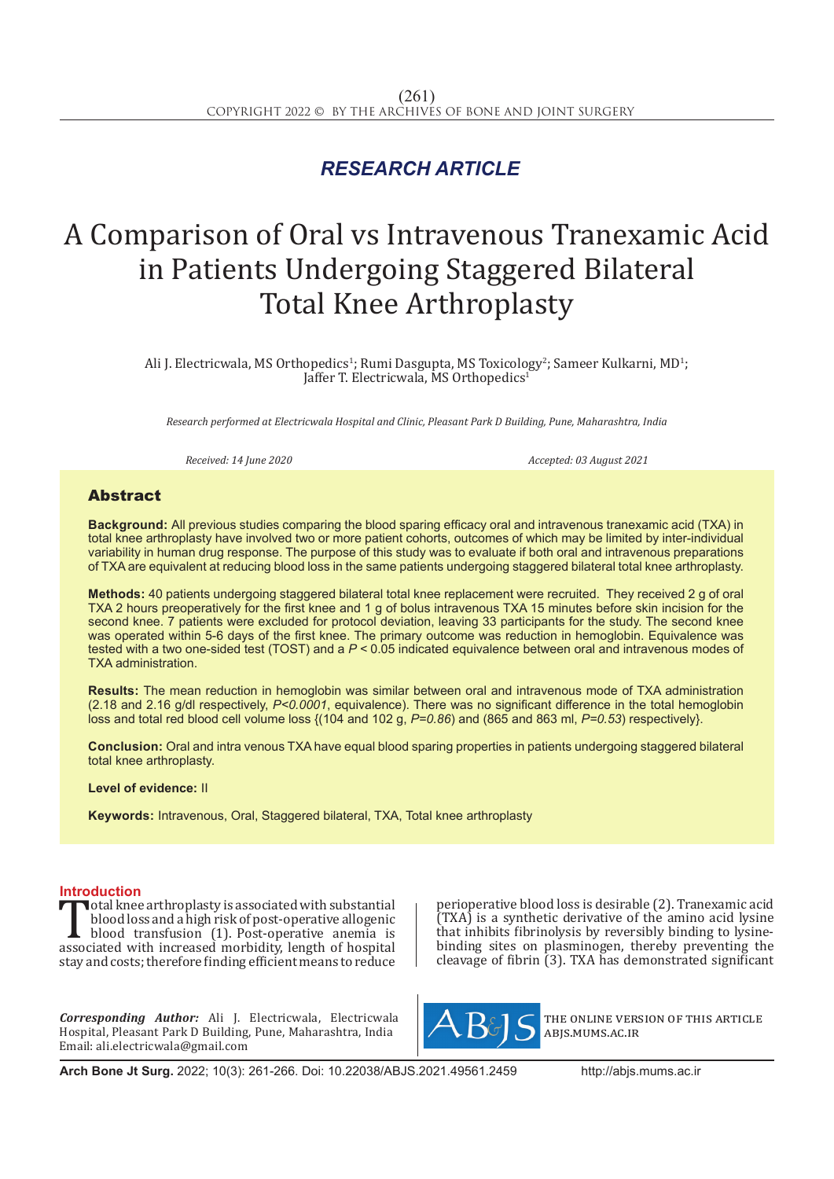## *RESEARCH ARTICLE*

# A Comparison of Oral vs Intravenous Tranexamic Acid in Patients Undergoing Staggered Bilateral Total Knee Arthroplasty

Ali J. Electricwala, MS Orthopedics<sup>1</sup>; Rumi Dasgupta, MS Toxicology<sup>2</sup>; Sameer Kulkarni, MD<sup>1</sup>; Jaffer T. Electricwala, MS Orthopedics<sup>1</sup>

*Research performed at Electricwala Hospital and Clinic, Pleasant Park D Building, Pune, Maharashtra, India*

*Received: 14 June 2020 Accepted: 03 August 2021*

### Abstract

**Background:** All previous studies comparing the blood sparing efficacy oral and intravenous tranexamic acid (TXA) in total knee arthroplasty have involved two or more patient cohorts, outcomes of which may be limited by inter-individual variability in human drug response. The purpose of this study was to evaluate if both oral and intravenous preparations of TXA are equivalent at reducing blood loss in the same patients undergoing staggered bilateral total knee arthroplasty.

**Methods:** 40 patients undergoing staggered bilateral total knee replacement were recruited. They received 2 g of oral TXA 2 hours preoperatively for the first knee and 1 g of bolus intravenous TXA 15 minutes before skin incision for the second knee. 7 patients were excluded for protocol deviation, leaving 33 participants for the study. The second knee was operated within 5-6 days of the first knee. The primary outcome was reduction in hemoglobin. Equivalence was tested with a two one-sided test (TOST) and a *P <* 0.05 indicated equivalence between oral and intravenous modes of TXA administration.

**Results:** The mean reduction in hemoglobin was similar between oral and intravenous mode of TXA administration (2.18 and 2.16 g/dl respectively, *P<0.0001*, equivalence). There was no significant difference in the total hemoglobin loss and total red blood cell volume loss {(104 and 102 g, *P=0.86*) and (865 and 863 ml, *P=0.53*) respectively}.

**Conclusion:** Oral and intra venous TXA have equal blood sparing properties in patients undergoing staggered bilateral total knee arthroplasty.

**Level of evidence:** II

**Keywords:** Intravenous, Oral, Staggered bilateral, TXA, Total knee arthroplasty

**Introduction**<br>**T**otal knee arthroplasty is associated with substantial Total knee arthroplasty is associated with substantial<br>blood loss and a high risk of post-operative allogenic<br>blood transfusion (1). Post-operative anemia is<br>associated with increased morbidity, length of hospital<br>stay and blood loss and a high risk of post-operative allogenic blood transfusion (1). Post-operative anemia is associated with increased morbidity, length of hospital stay and costs; therefore finding efficient means to reduce

*Corresponding Author:* Ali J. Electricwala, Electricwala Hospital, Pleasant Park D Building, Pune, Maharashtra, India Email: ali.electricwala@gmail.com

perioperative blood loss is desirable (2). Tranexamic acid (TXA) is a synthetic derivative of the amino acid lysine that inhibits fibrinolysis by reversibly binding to lysinebinding sites on plasminogen, thereby preventing the cleavage of fibrin (3). TXA has demonstrated significant



the online version of this article abjs.mums.ac.ir

**Arch Bone Jt Surg.** 2022; 10(3): 261-266. Doi: 10.22038/ABJS.2021.49561.2459 http://abjs.mums.ac.ir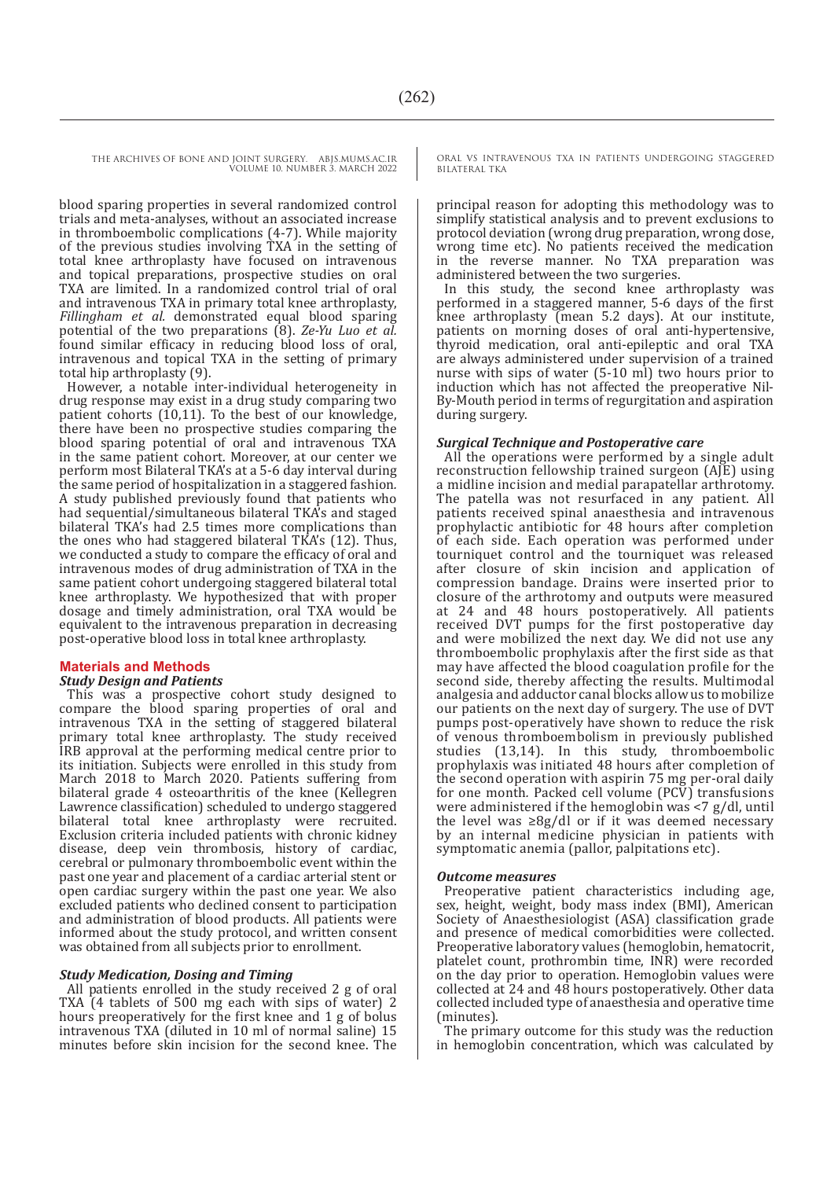THE ARCHIVES OF BONE AND JOINT SURGERY. ABJS.MUMS.AC.IR VOLUME 10. NUMBER 3. MARCH 2022

> blood sparing properties in several randomized control trials and meta-analyses, without an associated increase in thromboembolic complications (4-7). While majority of the previous studies involving TXA in the setting of total knee arthroplasty have focused on intravenous and topical preparations, prospective studies on oral TXA are limited. In a randomized control trial of oral and intravenous TXA in primary total knee arthroplasty, *Fillingham et al.* demonstrated equal blood sparing potential of the two preparations (8). *Ze-Yu Luo et al.* found similar efficacy in reducing blood loss of oral, intravenous and topical TXA in the setting of primary total hip arthroplasty (9).

> However, a notable inter-individual heterogeneity in drug response may exist in a drug study comparing two patient cohorts (10,11). To the best of our knowledge, there have been no prospective studies comparing the blood sparing potential of oral and intravenous TXA in the same patient cohort. Moreover, at our center we perform most Bilateral TKA's at a 5-6 day interval during A study published previously found that patients who had sequential/simultaneous bilateral TKA's and staged bilateral TKA's had 2.5 times more complications than the ones who had staggered bilateral TKA's (12). Thus, we conducted a study to compare the efficacy of oral and intravenous modes of drug administration of TXA in the same patient cohort undergoing staggered bilateral total knee arthroplasty. We hypothesized that with proper dosage and timely administration, oral TXA would be equivalent to the intravenous preparation in decreasing post-operative blood loss in total knee arthroplasty.

#### **Materials and Methods**

#### *Study Design and Patients*

This was a prospective cohort study designed to compare the blood sparing properties of oral and intravenous TXA in the setting of staggered bilateral primary total knee arthroplasty. The study received IRB approval at the performing medical centre prior to its initiation. Subjects were enrolled in this study from March 2018 to March 2020. Patients suffering from bilateral grade 4 osteoarthritis of the knee (Kellegren Lawrence classification) scheduled to undergo staggered bilateral total knee arthroplasty were recruited. Exclusion criteria included patients with chronic kidney disease, deep vein thrombosis, history of cardiac, cerebral or pulmonary thromboembolic event within the past one year and placement of a cardiac arterial stent or open cardiac surgery within the past one year. We also excluded patients who declined consent to participation and administration of blood products. All patients were informed about the study protocol, and written consent was obtained from all subjects prior to enrollment.

#### *Study Medication, Dosing and Timing*

All patients enrolled in the study received 2 g of oral TXA (4 tablets of 500 mg each with sips of water) 2 hours preoperatively for the first knee and 1 g of bolus intravenous TXA (diluted in 10 ml of normal saline) 15 minutes before skin incision for the second knee. The

ORAL VS INTRAVENOUS TXA IN PATIENTS UNDERGOING STAGGERED BILATERAL TKA

principal reason for adopting this methodology was to simplify statistical analysis and to prevent exclusions to protocol deviation (wrong drug preparation, wrong dose, wrong time etc). No patients received the medication in the reverse manner. No TXA preparation was administered between the two surgeries.

In this study, the second knee arthroplasty was performed in a staggered manner, 5-6 days of the first knee arthroplasty (mean 5.2 days). At our institute, patients on morning doses of oral anti-hypertensive, thyroid medication, oral anti-epileptic and oral TXA are always administered under supervision of a trained nurse with sips of water (5-10 ml) two hours prior to induction which has not affected the preoperative Nil-By-Mouth period in terms of regurgitation and aspiration during surgery.

#### *Surgical Technique and Postoperative care*

All the operations were performed by a single adult reconstruction fellowship trained surgeon (AJE) using a midline incision and medial parapatellar arthrotomy. The patella was not resurfaced in any patient. All patients received spinal anaesthesia and intravenous prophylactic antibiotic for 48 hours after completion of each side. Each operation was performed under tourniquet control and the tourniquet was released after closure of skin incision and application of compression bandage. Drains were inserted prior to closure of the arthrotomy and outputs were measured at 24 and 48 hours postoperatively. All patients received DVT pumps for the first postoperative day and were mobilized the next day. We did not use any thromboembolic prophylaxis after the first side as that may have affected the blood coagulation profile for the second side, thereby affecting the results. Multimodal analgesia and adductor canal blocks allow us to mobilize our patients on the next day of surgery. The use of DVT pumps post-operatively have shown to reduce the risk of venous thromboembolism in previously published studies (13,14). In this study, thromboembolic prophylaxis was initiated 48 hours after completion of the second operation with aspirin 75 mg per-oral daily for one month*.* Packed cell volume (PCV) transfusions were administered if the hemoglobin was <7 g/dl, until the level was  $\geq 8g/dl$  or if it was deemed necessary by an internal medicine physician in patients with symptomatic anemia (pallor, palpitations etc).

#### *Outcome measures*

Preoperative patient characteristics including age, sex, height, weight, body mass index (BMI), American Society of Anaesthesiologist (ASA) classification grade and presence of medical comorbidities were collected. Preoperative laboratory values (hemoglobin, hematocrit, platelet count, prothrombin time, INR) were recorded on the day prior to operation. Hemoglobin values were collected at 24 and 48 hours postoperatively. Other data collected included type of anaesthesia and operative time (minutes).

The primary outcome for this study was the reduction in hemoglobin concentration, which was calculated by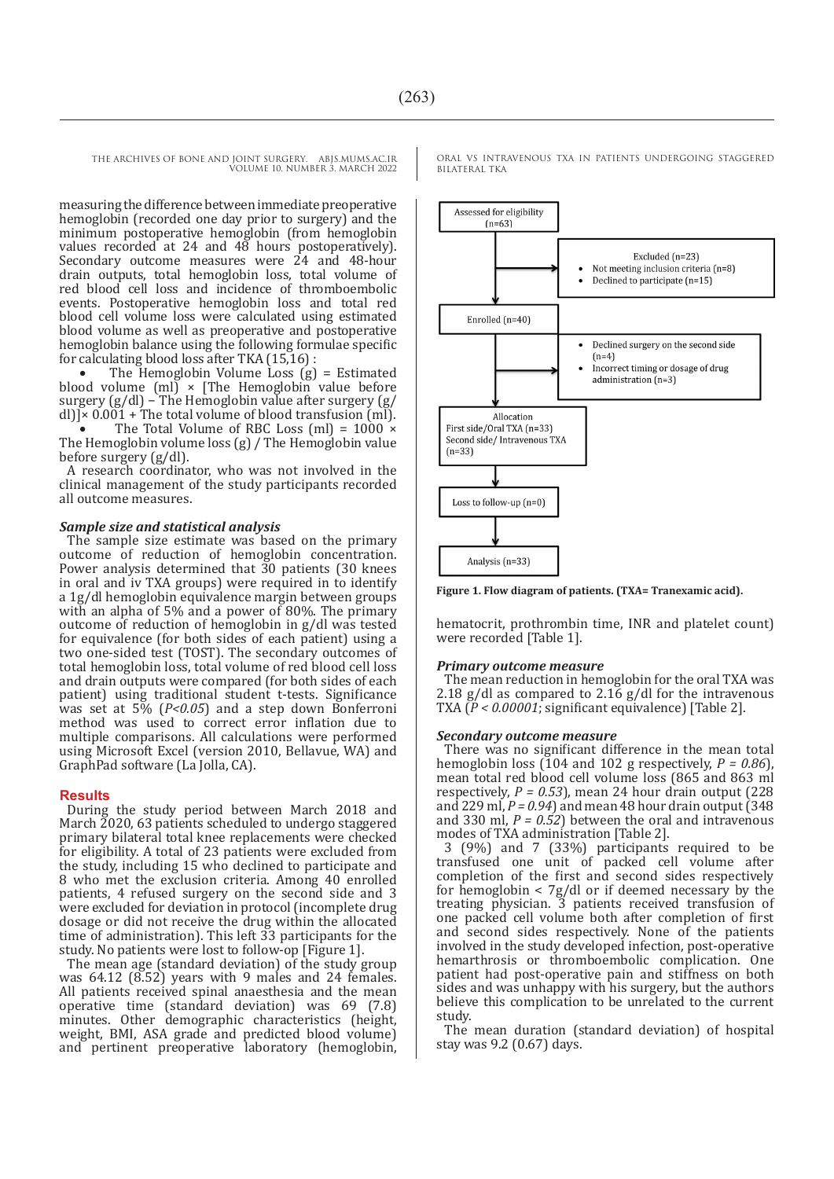THE ARCHIVES OF BONE AND JOINT SURGERY. ABJS.MUMS.AC.IR VOLUME 10. NUMBER 3. MARCH 2022

measuring the difference between immediate preoperative hemoglobin (recorded one day prior to surgery) and the minimum postoperative hemoglobin (from hemoglobin values recorded at 24 and 48 hours postoperatively). Secondary outcome measures were 24 and 48-hour drain outputs, total hemoglobin loss, total volume of red blood cell loss and incidence of thromboembolic events. Postoperative hemoglobin loss and total red blood cell volume loss were calculated using estimated blood volume as well as preoperative and postoperative hemoglobin balance using the following formulae specific for calculating blood loss after TKA (15,16) :

The Hemoglobin Volume Loss  $(g)$  = Estimated blood volume  $[m]$  × [The Hemoglobin value before surgery (g/dl) – The Hemoglobin value after surgery (g/ dl)] $\times$  0.001 + The total volume of blood transfusion (ml).

The Total Volume of RBC Loss (ml) =  $1000 \times$ The Hemoglobin volume loss (g) / The Hemoglobin value before surgery (g/dl).

A research coordinator, who was not involved in the clinical management of the study participants recorded all outcome measures.

#### *Sample size and statistical analysis*

The sample size estimate was based on the primary outcome of reduction of hemoglobin concentration. Power analysis determined that 30 patients (30 knees in oral and iv TXA groups) were required in to identify a 1g/dl hemoglobin equivalence margin between groups with an alpha of 5% and a power of 80%. The primary outcome of reduction of hemoglobin in g/dl was tested for equivalence (for both sides of each patient) using a two one-sided test (TOST). The secondary outcomes of total hemoglobin loss, total volume of red blood cell loss and drain outputs were compared (for both sides of each patient) using traditional student t-tests. Significance was set at 5% (*P<0.05*) and a step down Bonferroni method was used to correct error inflation due to multiple comparisons. All calculations were performed using Microsoft Excel (version 2010, Bellavue, WA) and GraphPad software (La Jolla, CA).

#### **Results**

During the study period between March 2018 and March 2020, 63 patients scheduled to undergo staggered primary bilateral total knee replacements were checked for eligibility. A total of 23 patients were excluded from the study, including 15 who declined to participate and 8 who met the exclusion criteria. Among 40 enrolled patients, 4 refused surgery on the second side and 3 were excluded for deviation in protocol (incomplete drug dosage or did not receive the drug within the allocated time of administration). This left 33 participants for the study. No patients were lost to follow-op [Figure 1].

The mean age (standard deviation) of the study group was 64.12 (8.52) years with 9 males and 24 females. All patients received spinal anaesthesia and the mean operative time (standard deviation) was 69 (7.8) minutes. Other demographic characteristics (height, weight, BMI, ASA grade and predicted blood volume) and pertinent preoperative laboratory (hemoglobin, ORAL VS INTRAVENOUS TXA IN PATIENTS UNDERGOING STAGGERED BILATERAL TKA



**Figure 1. Flow diagram of patients. (TXA= Tranexamic acid).**

hematocrit, prothrombin time, INR and platelet count) were recorded [Table 1].

#### *Primary outcome measure*

The mean reduction in hemoglobin for the oral TXA was 2.18 g/dl as compared to 2.16 g/dl for the intravenous TXA (*P < 0.00001*; significant equivalence) [Table 2].

#### *Secondary outcome measure*

There was no significant difference in the mean total hemoglobin loss (104 and 102 g respectively, *P = 0.86*), mean total red blood cell volume loss (865 and 863 ml respectively,  $P = 0.53$ ), mean 24 hour drain output (228) and 229 ml,  $P = 0.94$  and mean 48 hour drain output (348) and 330 ml, *P = 0.52*) between the oral and intravenous modes of TXA administration [Table 2].

3 (9%) and 7 (33%) participants required to be transfused one unit of packed cell volume after completion of the first and second sides respectively for hemoglobin  $\langle$  /g/dl or if deemed necessary by the treating physician. 3 patients received transfusion of one packed cell volume both after completion of first and second sides respectively. None of the patients involved in the study developed infection, post-operative hemarthrosis or thromboembolic complication. One patient had post-operative pain and stiffness on both sides and was unhappy with his surgery, but the authors believe this complication to be unrelated to the current study.

The mean duration (standard deviation) of hospital stay was 9.2 (0.67) days.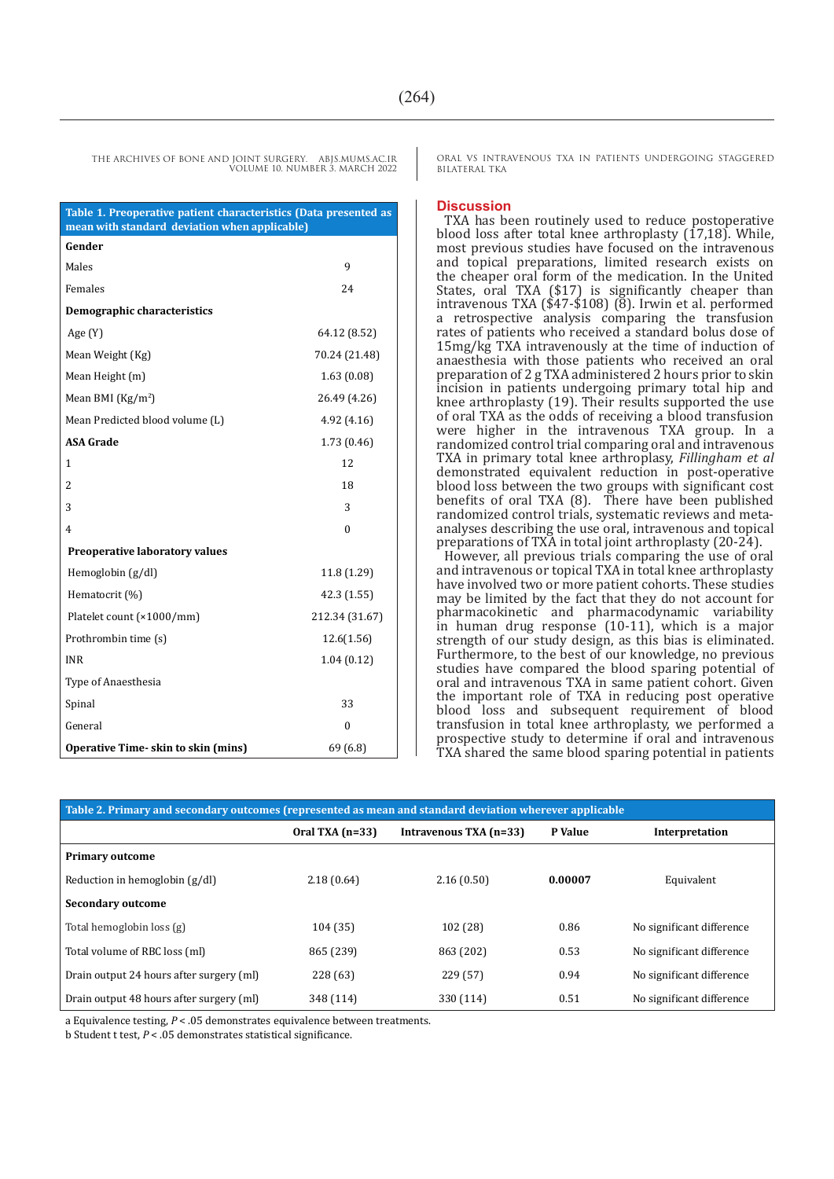**Table 1. Preoperative patient characteristics (Data presented as mean with standard deviation when applicable) Gender** Males 9 Females 24 **Demographic characteristics** Age (Y) 64.12 (8.52) Mean Weight (Kg) 70.24 (21.48) Mean Height (m) 1.63 (0.08) Mean BMI (Kg/m<sup>2</sup>) ) 26.49 (4.26) Mean Predicted blood volume (L) 4.92 (4.16) **ASA Grade** 1.73 (0.46) 1<sup>2</sup> 2 18  $3 \hspace{2.5cm} 3$  $4\hskip 4.5cm 0$  **Preoperative laboratory values** Hemoglobin (g/dl) 11.8 (1.29) Hematocrit (%) 42.3 (1.55) Platelet count (×1000/mm) 212.34 (31.67) Prothrombin time (s) 12.6(1.56) INR 1.04 (0.12) Type of Anaesthesia Spinal 33 General 0 **Operative Time- skin to skin (mins)** 69 (6.8)

ORAL VS INTRAVENOUS TXA IN PATIENTS UNDERGOING STAGGERED BILATERAL TKA

#### **Discussion**

TXA has been routinely used to reduce postoperative blood loss after total knee arthroplasty  $(17,18)$ . While, most previous studies have focused on the intravenous and topical preparations, limited research exists on the cheaper oral form of the medication. In the United States, oral TXA (\$17) is significantly cheaper than intravenous TXA (\$47-\$108) (8). Irwin et al. performed a retrospective analysis comparing the transfusion rates of patients who received a standard bolus dose of 15mg/kg TXA intravenously at the time of induction of anaesthesia with those patients who received an oral preparation of 2 g TXA administered 2 hours prior to skin incision in patients undergoing primary total hip and knee arthroplasty (19). Their results supported the use of oral TXA as the odds of receiving a blood transfusion were higher in the intravenous TXA group. In a randomized control trial comparing oral and intravenous TXA in primary total knee arthroplasy, *Fillingham et al* demonstrated equivalent reduction in post-operative blood loss between the two groups with significant cost benefits of oral TXA (8). There have been published randomized control trials, systematic reviews and metaanalyses describing the use oral, intravenous and topical preparations of TXA in total joint arthroplasty (20-24).

However, all previous trials comparing the use of oral and intravenous or topical TXA in total knee arthroplasty have involved two or more patient cohorts. These studies may be limited by the fact that they do not account for pharmacokinetic and pharmacodynamic variability in human drug response (10-11), which is a major strength of our study design, as this bias is eliminated. Furthermore, to the best of our knowledge, no previous studies have compared the blood sparing potential of oral and intravenous TXA in same patient cohort. Given the important role of TXA in reducing post operative blood loss and subsequent requirement of blood transfusion in total knee arthroplasty, we performed a prospective study to determine if oral and intravenous TXA shared the same blood sparing potential in patients

| Table 2. Primary and secondary outcomes (represented as mean and standard deviation wherever applicable |                   |                        |         |                           |
|---------------------------------------------------------------------------------------------------------|-------------------|------------------------|---------|---------------------------|
|                                                                                                         | Oral TXA $(n=33)$ | Intravenous TXA (n=33) | P Value | Interpretation            |
| <b>Primary outcome</b>                                                                                  |                   |                        |         |                           |
| Reduction in hemoglobin (g/dl)                                                                          | 2.18(0.64)        | 2.16(0.50)             | 0.00007 | Equivalent                |
| <b>Secondary outcome</b>                                                                                |                   |                        |         |                           |
| Total hemoglobin loss (g)                                                                               | 104 (35)          | 102 (28)               | 0.86    | No significant difference |
| Total volume of RBC loss (ml)                                                                           | 865 (239)         | 863 (202)              | 0.53    | No significant difference |
| Drain output 24 hours after surgery (ml)                                                                | 228 (63)          | 229 (57)               | 0.94    | No significant difference |
| Drain output 48 hours after surgery (ml)                                                                | 348 (114)         | 330 (114)              | 0.51    | No significant difference |

a Equivalence testing, *P* < .05 demonstrates equivalence between treatments.

b Student t test, *P* < .05 demonstrates statistical significance.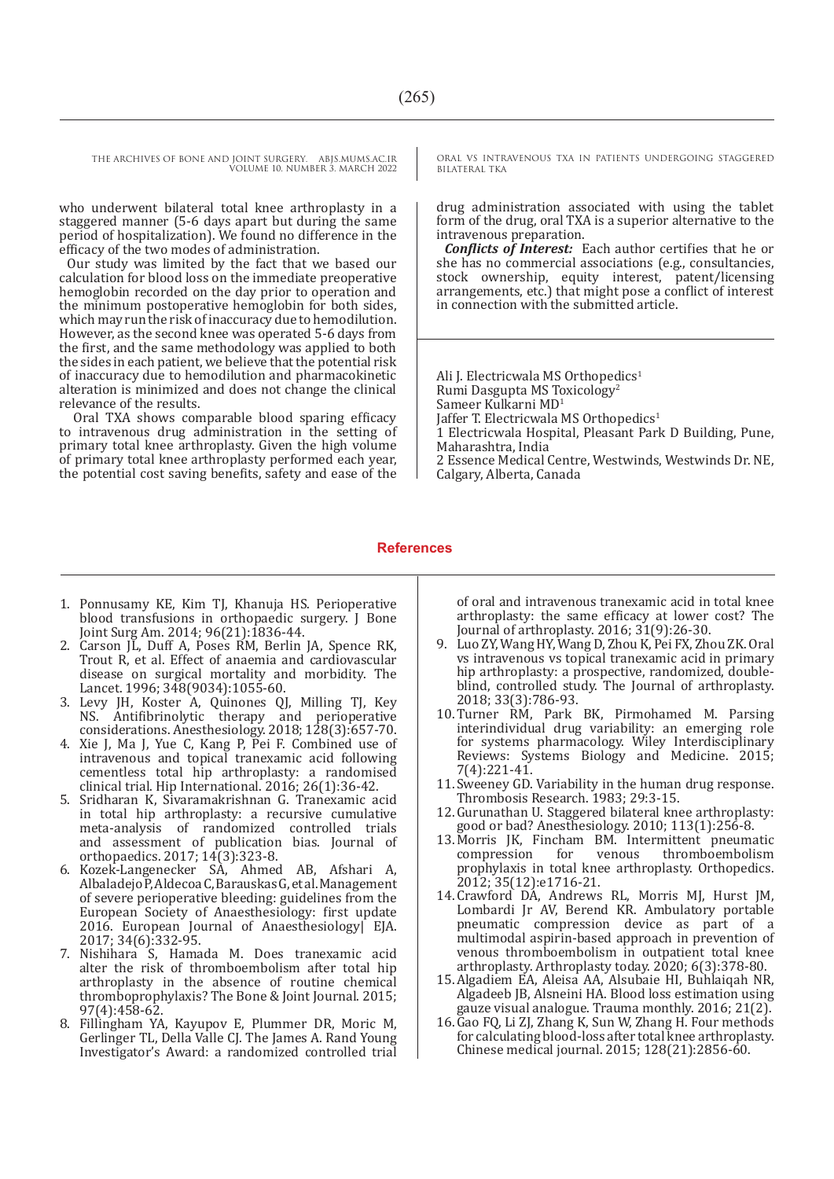THE ARCHIVES OF BONE AND JOINT SURGERY. ABJS.MUMS.AC.IR VOLUME 10. NUMBER 3. MARCH 2022

who underwent bilateral total knee arthroplasty in a staggered manner (5-6 days apart but during the same period of hospitalization). We found no difference in the efficacy of the two modes of administration.

Our study was limited by the fact that we based our calculation for blood loss on the immediate preoperative hemoglobin recorded on the day prior to operation and the minimum postoperative hemoglobin for both sides, which may run the risk of inaccuracy due to hemodilution. However, as the second knee was operated 5-6 days from the first, and the same methodology was applied to both the sides in each patient, we believe that the potential risk of inaccuracy due to hemodilution and pharmacokinetic alteration is minimized and does not change the clinical relevance of the results.

 Oral TXA shows comparable blood sparing efficacy to intravenous drug administration in the setting of primary total knee arthroplasty. Given the high volume of primary total knee arthroplasty performed each year, the potential cost saving benefits, safety and ease of the ORAL VS INTRAVENOUS TXA IN PATIENTS UNDERGOING STAGGERED BILATERAL TKA

drug administration associated with using the tablet form of the drug, oral TXA is a superior alternative to the intravenous preparation.

*Conflicts of Interest:* Each author certifies that he or she has no commercial associations (e.g., consultancies, stock ownership, equity interest, patent/licensing arrangements, etc.) that might pose a conflict of interest in connection with the submitted article.

Ali J. Electricwala MS Orthopedics<sup>1</sup> Rumi Dasgupta MS Toxicology<sup>2</sup> Sameer Kulkarni MD<sup>1</sup> Jaffer T. Electricwala MS Orthopedics<sup>1</sup> 1 Electricwala Hospital, Pleasant Park D Building, Pune, Maharashtra, India 2 Essence Medical Centre, Westwinds, Westwinds Dr. NE, Calgary, Alberta, Canada

#### **References**

- 1. Ponnusamy KE, Kim TJ, Khanuja HS. Perioperative blood transfusions in orthopaedic surgery. J Bone Joint Surg Am. 2014; 96(21):1836-44.
- 2. Carson JL, Duff A, Poses RM, Berlin JA, Spence RK, Trout R, et al. Effect of anaemia and cardiovascular disease on surgical mortality and morbidity. The Lancet. 1996; 348(9034):1055-60.
- 3. Levy JH, Koster A, Quinones QJ, Milling TJ, Key NS. Antifibrinolytic therapy and perioperative considerations. Anesthesiology. 2018; 128(3):657-70.
- 4. Xie J, Ma J, Yue C, Kang P, Pei F. Combined use of intravenous and topical tranexamic acid following cementless total hip arthroplasty: a randomised clinical trial. Hip International. 2016; 26(1):36-42.
- 5. Sridharan K, Sivaramakrishnan G. Tranexamic acid in total hip arthroplasty: a recursive cumulative meta-analysis of randomized controlled trials and assessment of publication bias. Journal of orthopaedics. 2017; 14(3):323-8.
- 6. Kozek-Langenecker SA, Ahmed AB, Afshari A, Albaladejo P, Aldecoa C, Barauskas G, et al. Management of severe perioperative bleeding: guidelines from the European Society of Anaesthesiology: first update 2016. European Journal of Anaesthesiology| EJA. 2017; 34(6):332-95.
- 7. Nishihara S, Hamada M. Does tranexamic acid alter the risk of thromboembolism after total hip arthroplasty in the absence of routine chemical thromboprophylaxis? The Bone & Joint Journal. 2015; 97(4):458-62.
- 8. Fillingham YA, Kayupov E, Plummer DR, Moric M, Gerlinger TL, Della Valle CJ. The James A. Rand Young Investigator's Award: a randomized controlled trial

of oral and intravenous tranexamic acid in total knee arthroplasty: the same efficacy at lower cost? The Journal of arthroplasty. 2016; 31(9):26-30.

- 9. Luo ZY, Wang HY, Wang D, Zhou K, Pei FX, Zhou ZK. Oral vs intravenous vs topical tranexamic acid in primary hip arthroplasty: a prospective, randomized, doubleblind, controlled study. The Journal of arthroplasty. 2018; 33(3):786-93.
- 10.Turner RM, Park BK, Pirmohamed M. Parsing interindividual drug variability: an emerging role for systems pharmacology. Wiley Interdisciplinary Reviews: Systems Biology and Medicine. 2015; 7(4):221-41.
- 11.Sweeney GD. Variability in the human drug response. Thrombosis Research. 1983; 29:3-15.
- 12.Gurunathan U. Staggered bilateral knee arthroplasty: good or bad? Anesthesiology. 2010; 113(1):256-8.
- 13. Morris JK, Fincham BM. Intermittent pneumatic compression for venous thromboembolism compression for venous thromboembolism prophylaxis in total knee arthroplasty. Orthopedics. 2012; 35(12):e1716-21.
- 14.Crawford DA, Andrews RL, Morris MJ, Hurst JM, Lombardi Jr AV, Berend KR. Ambulatory portable pneumatic compression device as part of a multimodal aspirin-based approach in prevention of venous thromboembolism in outpatient total knee arthroplasty. Arthroplasty today. 2020; 6(3):378-80.
- 15.Algadiem EA, Aleisa AA, Alsubaie HI, Buhlaiqah NR, Algadeeb JB, Alsneini HA. Blood loss estimation using gauze visual analogue. Trauma monthly. 2016; 21(2).
- 16.Gao FQ, Li ZJ, Zhang K, Sun W, Zhang H. Four methods for calculating blood-loss after total knee arthroplasty. Chinese medical journal. 2015; 128(21):2856-60.